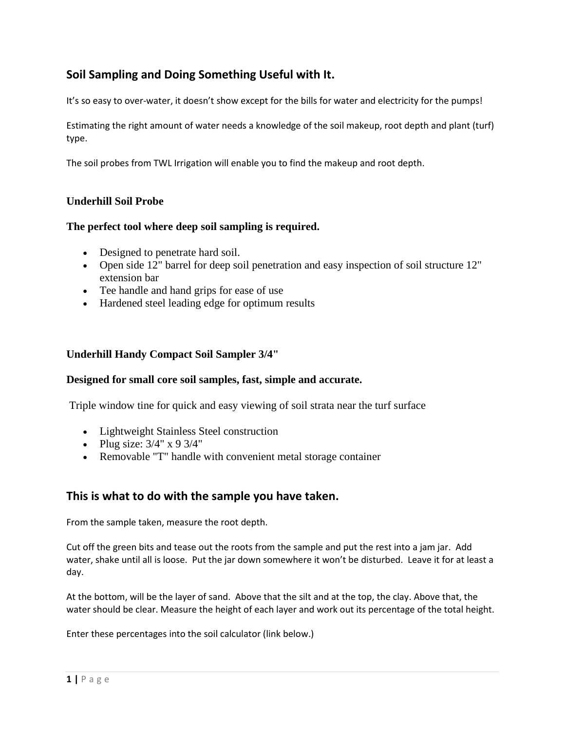# **Soil Sampling and Doing Something Useful with It.**

It's so easy to over-water, it doesn't show except for the bills for water and electricity for the pumps!

Estimating the right amount of water needs a knowledge of the soil makeup, root depth and plant (turf) type.

The soil probes from TWL Irrigation will enable you to find the makeup and root depth.

## **Underhill Soil Probe**

### **The perfect tool where deep soil sampling is required.**

- Designed to penetrate hard soil.
- Open side 12" barrel for deep soil penetration and easy inspection of soil structure 12" extension bar
- Tee handle and hand grips for ease of use
- Hardened steel leading edge for optimum results

#### **Underhill Handy Compact Soil Sampler 3/4"**

#### **Designed for small core soil samples, fast, simple and accurate.**

Triple window tine for quick and easy viewing of soil strata near the turf surface

- Lightweight Stainless Steel construction
- Plug size:  $3/4$ " x 9  $3/4$ "
- Removable "T" handle with convenient metal storage container

## **This is what to do with the sample you have taken.**

From the sample taken, measure the root depth.

Cut off the green bits and tease out the roots from the sample and put the rest into a jam jar. Add water, shake until all is loose. Put the jar down somewhere it won't be disturbed. Leave it for at least a day.

At the bottom, will be the layer of sand. Above that the silt and at the top, the clay. Above that, the water should be clear. Measure the height of each layer and work out its percentage of the total height.

Enter these percentages into the soil calculator (link below.)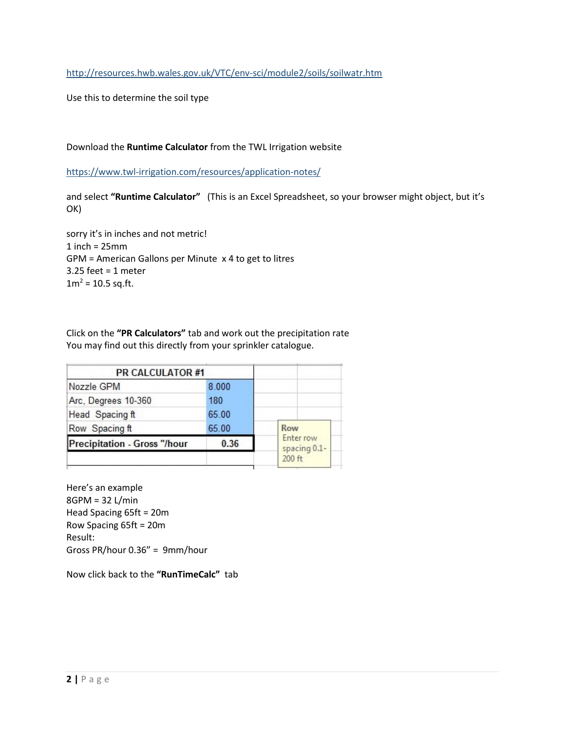<http://resources.hwb.wales.gov.uk/VTC/env-sci/module2/soils/soilwatr.htm>

Use this to determine the soil type

#### Download the **Runtime Calculator** from the TWL Irrigation website

<https://www.twl-irrigation.com/resources/application-notes/>

and select **"Runtime Calculator"** (This is an Excel Spreadsheet, so your browser might object, but it's OK)

sorry it's in inches and not metric!  $1$  inch =  $25$ mm GPM = American Gallons per Minute x 4 to get to litres 3.25 feet = 1 meter  $1m^2 = 10.5$  sq.ft.

Click on the **"PR Calculators"** tab and work out the precipitation rate You may find out this directly from your sprinkler catalogue.

| <b>PR CALCULATOR #1</b>      |       |                           |
|------------------------------|-------|---------------------------|
| Nozzle GPM                   | 8.000 |                           |
| Arc, Degrees 10-360          | 180   |                           |
| Head Spacing ft              | 65.00 |                           |
| Row Spacing ft               | 65.00 | Row                       |
| Precipitation - Gross "/hour | 0.36  | Enter row<br>spacing 0.1- |
|                              |       | 200 ft                    |

Here's an example 8GPM = 32 L/min Head Spacing 65ft = 20m Row Spacing 65ft = 20m Result: Gross PR/hour 0.36" = 9mm/hour

Now click back to the **"RunTimeCalc"** tab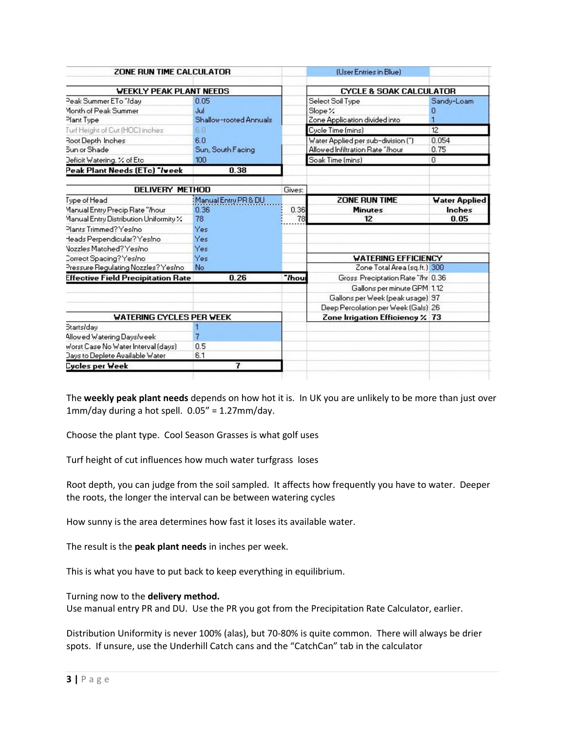| ZONE RUN TIME CALCULATOR                   | <b>(User Entries in Blue)</b> |                                             |                      |
|--------------------------------------------|-------------------------------|---------------------------------------------|----------------------|
| <b>WEEKLY PEAK PLANT NEEDS</b>             |                               | <b>CYCLE &amp; SOAK CALCULATOR</b>          |                      |
| 0.05                                       |                               | Select Soil Type                            | Sandy-Loam           |
| Jul                                        |                               | Slope %<br>O                                |                      |
| Shallow-rooted Annuals                     | Zone Application divided into |                                             |                      |
| 盲目                                         | Cycle Time (mins)<br>12       |                                             |                      |
| 6.0                                        |                               | 0.054<br>Water Applied per sub-division (") |                      |
| Sun, South Facing                          |                               | Allowed Infiltration Rate "/hour<br>0.75    |                      |
| 100                                        |                               | Soak Time (mins)<br>0                       |                      |
| 0.38                                       |                               |                                             |                      |
| DELIVERY METHOD                            | Gives:                        |                                             |                      |
| Manual Entry PR & DU                       |                               | <b>ZONE RUN TIME</b>                        | <b>Water Applied</b> |
| 0.36                                       | 0.36                          | <b>Minutes</b><br><b>Inches</b>             |                      |
| 78                                         | 78                            | 12<br>0.05                                  |                      |
| Yes                                        |                               |                                             |                      |
| Yes                                        |                               |                                             |                      |
| Yes                                        |                               |                                             |                      |
| Yes                                        |                               | <b>WATERING EFFICIENCY</b>                  |                      |
| No                                         |                               | Zone Total Area (sq.ft.) 300                |                      |
| 0.26<br>Effective Field Precipitation Rate | "Thou                         | Gross Preciptation Rate "Ihr 0.36           |                      |
|                                            |                               | Gallons per minute GPM 1.12                 |                      |
|                                            |                               | Gallons per Week (peak usage) 97            |                      |
|                                            |                               | Deep Percolation per Week (Gals) 26         |                      |
| <b>WATERING CYCLES PER WEEK</b>            |                               | Zone Irrigation Efficiency % 73             |                      |
|                                            |                               |                                             |                      |
| 7                                          |                               |                                             |                      |
| 0.5                                        |                               |                                             |                      |
| 6.1                                        |                               |                                             |                      |
| 7                                          |                               |                                             |                      |
|                                            |                               |                                             |                      |

The **weekly peak plant needs** depends on how hot it is. In UK you are unlikely to be more than just over 1mm/day during a hot spell. 0.05" = 1.27mm/day.

Choose the plant type. Cool Season Grasses is what golf uses

Turf height of cut influences how much water turfgrass loses

Root depth, you can judge from the soil sampled. It affects how frequently you have to water. Deeper the roots, the longer the interval can be between watering cycles

How sunny is the area determines how fast it loses its available water.

The result is the **peak plant needs** in inches per week.

This is what you have to put back to keep everything in equilibrium.

Turning now to the **delivery method.** 

Use manual entry PR and DU. Use the PR you got from the Precipitation Rate Calculator, earlier.

Distribution Uniformity is never 100% (alas), but 70-80% is quite common. There will always be drier spots. If unsure, use the Underhill Catch cans and the "CatchCan" tab in the calculator